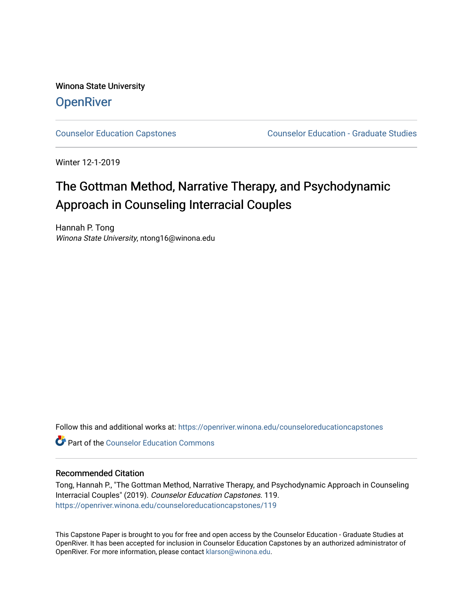Winona State University **OpenRiver** 

[Counselor Education Capstones](https://openriver.winona.edu/counseloreducationcapstones) [Counselor Education - Graduate Studies](https://openriver.winona.edu/counseloreducation) 

Winter 12-1-2019

# The Gottman Method, Narrative Therapy, and Psychodynamic Approach in Counseling Interracial Couples

Hannah P. Tong Winona State University, ntong16@winona.edu

Follow this and additional works at: [https://openriver.winona.edu/counseloreducationcapstones](https://openriver.winona.edu/counseloreducationcapstones?utm_source=openriver.winona.edu%2Fcounseloreducationcapstones%2F119&utm_medium=PDF&utm_campaign=PDFCoverPages)

**C** Part of the Counselor Education Commons

# Recommended Citation

Tong, Hannah P., "The Gottman Method, Narrative Therapy, and Psychodynamic Approach in Counseling Interracial Couples" (2019). Counselor Education Capstones. 119. [https://openriver.winona.edu/counseloreducationcapstones/119](https://openriver.winona.edu/counseloreducationcapstones/119?utm_source=openriver.winona.edu%2Fcounseloreducationcapstones%2F119&utm_medium=PDF&utm_campaign=PDFCoverPages)

This Capstone Paper is brought to you for free and open access by the Counselor Education - Graduate Studies at OpenRiver. It has been accepted for inclusion in Counselor Education Capstones by an authorized administrator of OpenRiver. For more information, please contact [klarson@winona.edu](mailto:klarson@winona.edu).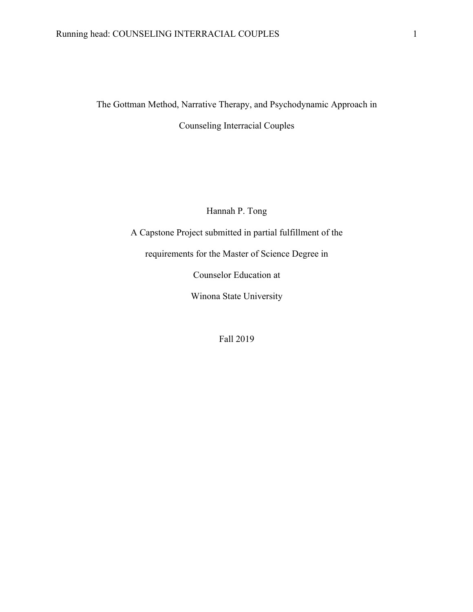# The Gottman Method, Narrative Therapy, and Psychodynamic Approach in Counseling Interracial Couples

Hannah P. Tong

A Capstone Project submitted in partial fulfillment of the

requirements for the Master of Science Degree in

Counselor Education at

Winona State University

Fall 2019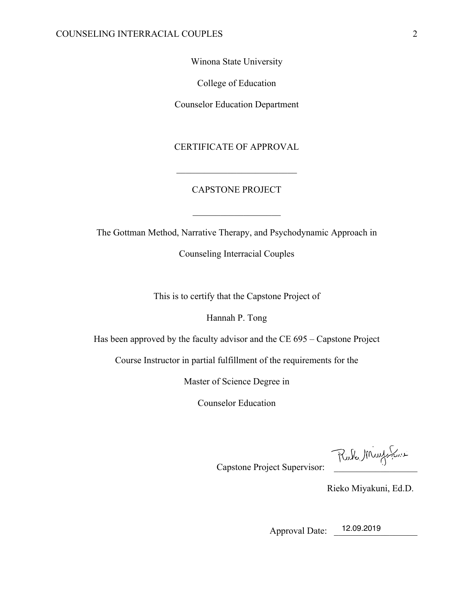Winona State University

College of Education

Counselor Education Department

# CERTIFICATE OF APPROVAL

# CAPSTONE PROJECT

 $\mathcal{L}=\mathcal{L}=\mathcal{L}=\mathcal{L}=\mathcal{L}=\mathcal{L}=\mathcal{L}=\mathcal{L}=\mathcal{L}=\mathcal{L}=\mathcal{L}=\mathcal{L}=\mathcal{L}=\mathcal{L}=\mathcal{L}=\mathcal{L}=\mathcal{L}=\mathcal{L}=\mathcal{L}=\mathcal{L}=\mathcal{L}=\mathcal{L}=\mathcal{L}=\mathcal{L}=\mathcal{L}=\mathcal{L}=\mathcal{L}=\mathcal{L}=\mathcal{L}=\mathcal{L}=\mathcal{L}=\mathcal{L}=\mathcal{L}=\mathcal{L}=\mathcal{L}=\mathcal{L}=\mathcal{$ 

The Gottman Method, Narrative Therapy, and Psychodynamic Approach in

Counseling Interracial Couples

This is to certify that the Capstone Project of

Hannah P. Tong

Has been approved by the faculty advisor and the CE 695 – Capstone Project

Course Instructor in partial fulfillment of the requirements for the

Master of Science Degree in

Counselor Education

Capstone Project Supervisor:

Rieko Miyakuni, Ed.D.

Approval Date: **12.09.2019**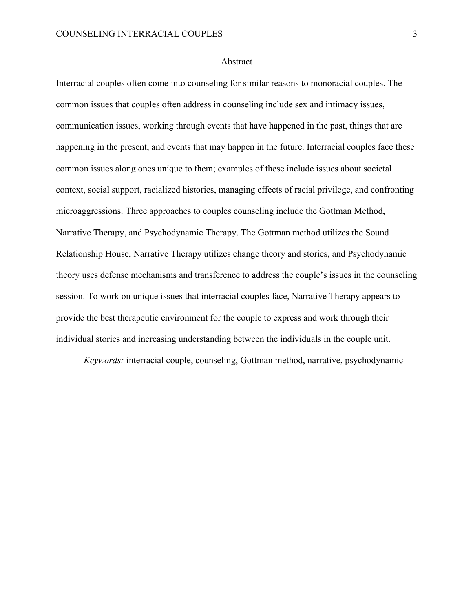#### Abstract

Interracial couples often come into counseling for similar reasons to monoracial couples. The common issues that couples often address in counseling include sex and intimacy issues, communication issues, working through events that have happened in the past, things that are happening in the present, and events that may happen in the future. Interracial couples face these common issues along ones unique to them; examples of these include issues about societal context, social support, racialized histories, managing effects of racial privilege, and confronting microaggressions. Three approaches to couples counseling include the Gottman Method, Narrative Therapy, and Psychodynamic Therapy. The Gottman method utilizes the Sound Relationship House, Narrative Therapy utilizes change theory and stories, and Psychodynamic theory uses defense mechanisms and transference to address the couple's issues in the counseling session. To work on unique issues that interracial couples face, Narrative Therapy appears to provide the best therapeutic environment for the couple to express and work through their individual stories and increasing understanding between the individuals in the couple unit.

*Keywords:* interracial couple, counseling, Gottman method, narrative, psychodynamic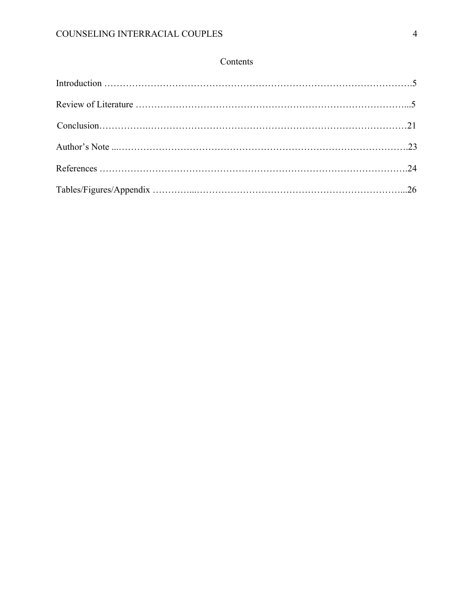# Contents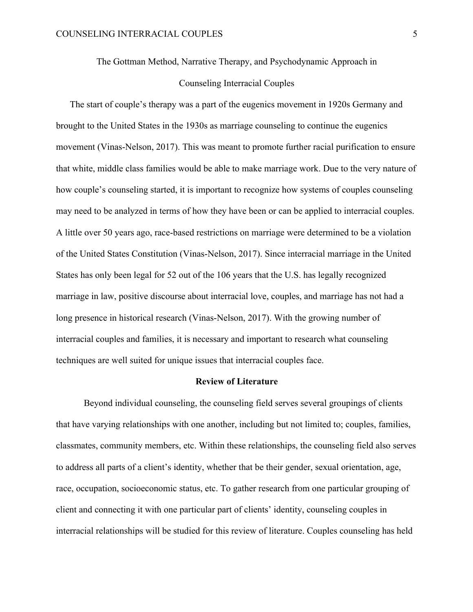The Gottman Method, Narrative Therapy, and Psychodynamic Approach in

# Counseling Interracial Couples

The start of couple's therapy was a part of the eugenics movement in 1920s Germany and brought to the United States in the 1930s as marriage counseling to continue the eugenics movement (Vinas-Nelson, 2017). This was meant to promote further racial purification to ensure that white, middle class families would be able to make marriage work. Due to the very nature of how couple's counseling started, it is important to recognize how systems of couples counseling may need to be analyzed in terms of how they have been or can be applied to interracial couples. A little over 50 years ago, race-based restrictions on marriage were determined to be a violation of the United States Constitution (Vinas-Nelson, 2017). Since interracial marriage in the United States has only been legal for 52 out of the 106 years that the U.S. has legally recognized marriage in law, positive discourse about interracial love, couples, and marriage has not had a long presence in historical research (Vinas-Nelson, 2017). With the growing number of interracial couples and families, it is necessary and important to research what counseling techniques are well suited for unique issues that interracial couples face.

## **Review of Literature**

Beyond individual counseling, the counseling field serves several groupings of clients that have varying relationships with one another, including but not limited to; couples, families, classmates, community members, etc. Within these relationships, the counseling field also serves to address all parts of a client's identity, whether that be their gender, sexual orientation, age, race, occupation, socioeconomic status, etc. To gather research from one particular grouping of client and connecting it with one particular part of clients' identity, counseling couples in interracial relationships will be studied for this review of literature. Couples counseling has held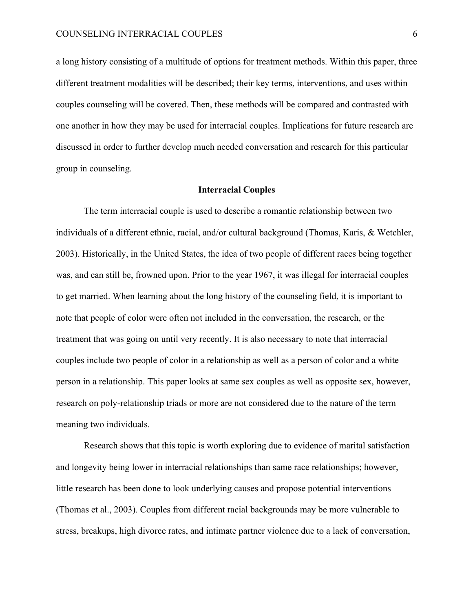a long history consisting of a multitude of options for treatment methods. Within this paper, three different treatment modalities will be described; their key terms, interventions, and uses within couples counseling will be covered. Then, these methods will be compared and contrasted with one another in how they may be used for interracial couples. Implications for future research are discussed in order to further develop much needed conversation and research for this particular group in counseling.

#### **Interracial Couples**

The term interracial couple is used to describe a romantic relationship between two individuals of a different ethnic, racial, and/or cultural background (Thomas, Karis, & Wetchler, 2003). Historically, in the United States, the idea of two people of different races being together was, and can still be, frowned upon. Prior to the year 1967, it was illegal for interracial couples to get married. When learning about the long history of the counseling field, it is important to note that people of color were often not included in the conversation, the research, or the treatment that was going on until very recently. It is also necessary to note that interracial couples include two people of color in a relationship as well as a person of color and a white person in a relationship. This paper looks at same sex couples as well as opposite sex, however, research on poly-relationship triads or more are not considered due to the nature of the term meaning two individuals.

Research shows that this topic is worth exploring due to evidence of marital satisfaction and longevity being lower in interracial relationships than same race relationships; however, little research has been done to look underlying causes and propose potential interventions (Thomas et al., 2003). Couples from different racial backgrounds may be more vulnerable to stress, breakups, high divorce rates, and intimate partner violence due to a lack of conversation,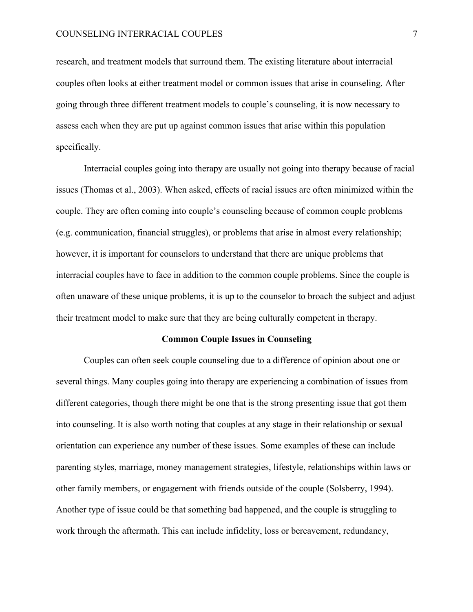research, and treatment models that surround them. The existing literature about interracial couples often looks at either treatment model or common issues that arise in counseling. After going through three different treatment models to couple's counseling, it is now necessary to assess each when they are put up against common issues that arise within this population specifically.

Interracial couples going into therapy are usually not going into therapy because of racial issues (Thomas et al., 2003). When asked, effects of racial issues are often minimized within the couple. They are often coming into couple's counseling because of common couple problems (e.g. communication, financial struggles), or problems that arise in almost every relationship; however, it is important for counselors to understand that there are unique problems that interracial couples have to face in addition to the common couple problems. Since the couple is often unaware of these unique problems, it is up to the counselor to broach the subject and adjust their treatment model to make sure that they are being culturally competent in therapy.

#### **Common Couple Issues in Counseling**

Couples can often seek couple counseling due to a difference of opinion about one or several things. Many couples going into therapy are experiencing a combination of issues from different categories, though there might be one that is the strong presenting issue that got them into counseling. It is also worth noting that couples at any stage in their relationship or sexual orientation can experience any number of these issues. Some examples of these can include parenting styles, marriage, money management strategies, lifestyle, relationships within laws or other family members, or engagement with friends outside of the couple (Solsberry, 1994). Another type of issue could be that something bad happened, and the couple is struggling to work through the aftermath. This can include infidelity, loss or bereavement, redundancy,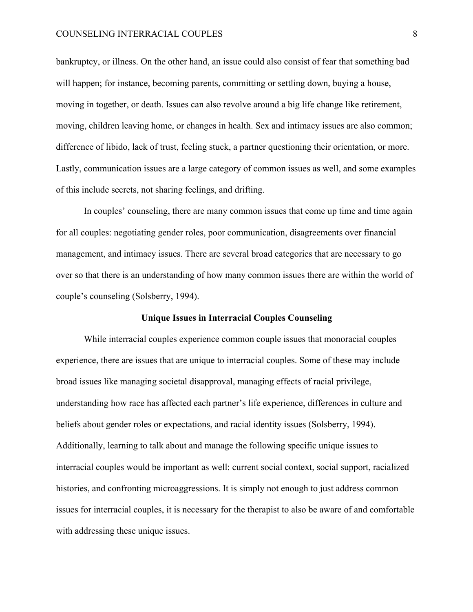# COUNSELING INTERRACIAL COUPLES 8

bankruptcy, or illness. On the other hand, an issue could also consist of fear that something bad will happen; for instance, becoming parents, committing or settling down, buying a house, moving in together, or death. Issues can also revolve around a big life change like retirement, moving, children leaving home, or changes in health. Sex and intimacy issues are also common; difference of libido, lack of trust, feeling stuck, a partner questioning their orientation, or more. Lastly, communication issues are a large category of common issues as well, and some examples of this include secrets, not sharing feelings, and drifting.

In couples' counseling, there are many common issues that come up time and time again for all couples: negotiating gender roles, poor communication, disagreements over financial management, and intimacy issues. There are several broad categories that are necessary to go over so that there is an understanding of how many common issues there are within the world of couple's counseling (Solsberry, 1994).

#### **Unique Issues in Interracial Couples Counseling**

While interracial couples experience common couple issues that monoracial couples experience, there are issues that are unique to interracial couples. Some of these may include broad issues like managing societal disapproval, managing effects of racial privilege, understanding how race has affected each partner's life experience, differences in culture and beliefs about gender roles or expectations, and racial identity issues (Solsberry, 1994). Additionally, learning to talk about and manage the following specific unique issues to interracial couples would be important as well: current social context, social support, racialized histories, and confronting microaggressions. It is simply not enough to just address common issues for interracial couples, it is necessary for the therapist to also be aware of and comfortable with addressing these unique issues.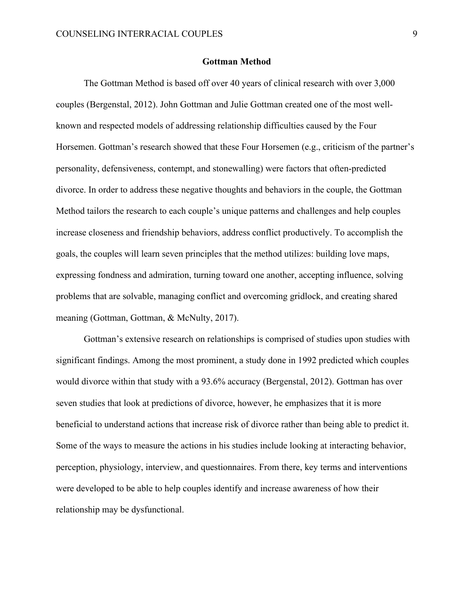#### **Gottman Method**

The Gottman Method is based off over 40 years of clinical research with over 3,000 couples (Bergenstal, 2012). John Gottman and Julie Gottman created one of the most wellknown and respected models of addressing relationship difficulties caused by the Four Horsemen. Gottman's research showed that these Four Horsemen (e.g., criticism of the partner's personality, defensiveness, contempt, and stonewalling) were factors that often-predicted divorce. In order to address these negative thoughts and behaviors in the couple, the Gottman Method tailors the research to each couple's unique patterns and challenges and help couples increase closeness and friendship behaviors, address conflict productively. To accomplish the goals, the couples will learn seven principles that the method utilizes: building love maps, expressing fondness and admiration, turning toward one another, accepting influence, solving problems that are solvable, managing conflict and overcoming gridlock, and creating shared meaning (Gottman, Gottman, & McNulty, 2017).

Gottman's extensive research on relationships is comprised of studies upon studies with significant findings. Among the most prominent, a study done in 1992 predicted which couples would divorce within that study with a 93.6% accuracy (Bergenstal, 2012). Gottman has over seven studies that look at predictions of divorce, however, he emphasizes that it is more beneficial to understand actions that increase risk of divorce rather than being able to predict it. Some of the ways to measure the actions in his studies include looking at interacting behavior, perception, physiology, interview, and questionnaires. From there, key terms and interventions were developed to be able to help couples identify and increase awareness of how their relationship may be dysfunctional.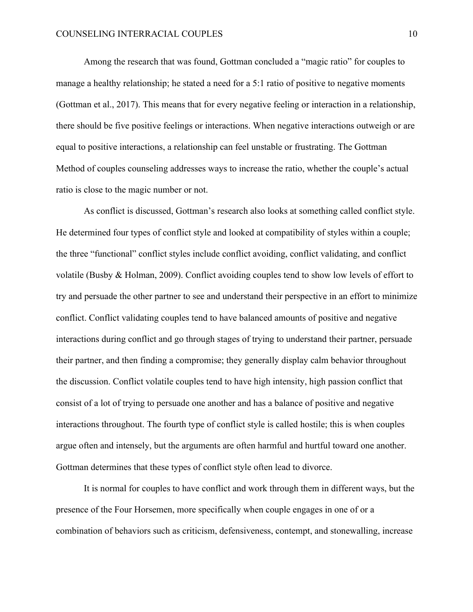Among the research that was found, Gottman concluded a "magic ratio" for couples to manage a healthy relationship; he stated a need for a 5:1 ratio of positive to negative moments (Gottman et al., 2017). This means that for every negative feeling or interaction in a relationship, there should be five positive feelings or interactions. When negative interactions outweigh or are equal to positive interactions, a relationship can feel unstable or frustrating. The Gottman Method of couples counseling addresses ways to increase the ratio, whether the couple's actual ratio is close to the magic number or not.

As conflict is discussed, Gottman's research also looks at something called conflict style. He determined four types of conflict style and looked at compatibility of styles within a couple; the three "functional" conflict styles include conflict avoiding, conflict validating, and conflict volatile (Busby & Holman, 2009). Conflict avoiding couples tend to show low levels of effort to try and persuade the other partner to see and understand their perspective in an effort to minimize conflict. Conflict validating couples tend to have balanced amounts of positive and negative interactions during conflict and go through stages of trying to understand their partner, persuade their partner, and then finding a compromise; they generally display calm behavior throughout the discussion. Conflict volatile couples tend to have high intensity, high passion conflict that consist of a lot of trying to persuade one another and has a balance of positive and negative interactions throughout. The fourth type of conflict style is called hostile; this is when couples argue often and intensely, but the arguments are often harmful and hurtful toward one another. Gottman determines that these types of conflict style often lead to divorce.

It is normal for couples to have conflict and work through them in different ways, but the presence of the Four Horsemen, more specifically when couple engages in one of or a combination of behaviors such as criticism, defensiveness, contempt, and stonewalling, increase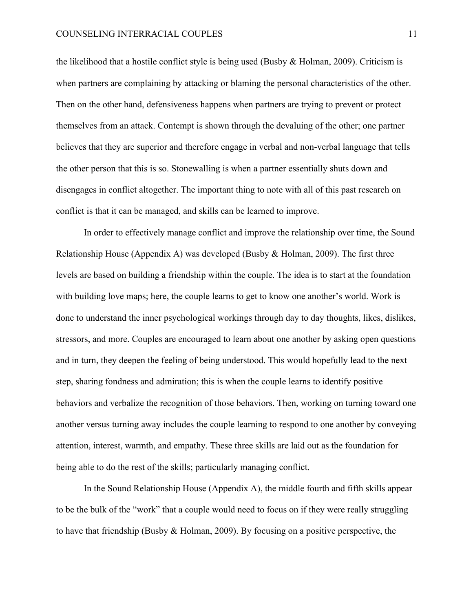the likelihood that a hostile conflict style is being used (Busby  $&$  Holman, 2009). Criticism is when partners are complaining by attacking or blaming the personal characteristics of the other. Then on the other hand, defensiveness happens when partners are trying to prevent or protect themselves from an attack. Contempt is shown through the devaluing of the other; one partner believes that they are superior and therefore engage in verbal and non-verbal language that tells the other person that this is so. Stonewalling is when a partner essentially shuts down and disengages in conflict altogether. The important thing to note with all of this past research on conflict is that it can be managed, and skills can be learned to improve.

In order to effectively manage conflict and improve the relationship over time, the Sound Relationship House (Appendix A) was developed (Busby & Holman, 2009). The first three levels are based on building a friendship within the couple. The idea is to start at the foundation with building love maps; here, the couple learns to get to know one another's world. Work is done to understand the inner psychological workings through day to day thoughts, likes, dislikes, stressors, and more. Couples are encouraged to learn about one another by asking open questions and in turn, they deepen the feeling of being understood. This would hopefully lead to the next step, sharing fondness and admiration; this is when the couple learns to identify positive behaviors and verbalize the recognition of those behaviors. Then, working on turning toward one another versus turning away includes the couple learning to respond to one another by conveying attention, interest, warmth, and empathy. These three skills are laid out as the foundation for being able to do the rest of the skills; particularly managing conflict.

In the Sound Relationship House (Appendix A), the middle fourth and fifth skills appear to be the bulk of the "work" that a couple would need to focus on if they were really struggling to have that friendship (Busby & Holman, 2009). By focusing on a positive perspective, the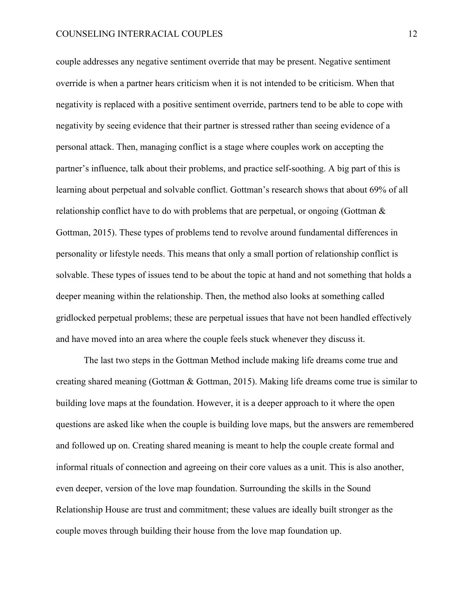couple addresses any negative sentiment override that may be present. Negative sentiment override is when a partner hears criticism when it is not intended to be criticism. When that negativity is replaced with a positive sentiment override, partners tend to be able to cope with negativity by seeing evidence that their partner is stressed rather than seeing evidence of a personal attack. Then, managing conflict is a stage where couples work on accepting the partner's influence, talk about their problems, and practice self-soothing. A big part of this is learning about perpetual and solvable conflict. Gottman's research shows that about 69% of all relationship conflict have to do with problems that are perpetual, or ongoing (Gottman  $\&$ Gottman, 2015). These types of problems tend to revolve around fundamental differences in personality or lifestyle needs. This means that only a small portion of relationship conflict is solvable. These types of issues tend to be about the topic at hand and not something that holds a deeper meaning within the relationship. Then, the method also looks at something called gridlocked perpetual problems; these are perpetual issues that have not been handled effectively and have moved into an area where the couple feels stuck whenever they discuss it.

The last two steps in the Gottman Method include making life dreams come true and creating shared meaning (Gottman & Gottman, 2015). Making life dreams come true is similar to building love maps at the foundation. However, it is a deeper approach to it where the open questions are asked like when the couple is building love maps, but the answers are remembered and followed up on. Creating shared meaning is meant to help the couple create formal and informal rituals of connection and agreeing on their core values as a unit. This is also another, even deeper, version of the love map foundation. Surrounding the skills in the Sound Relationship House are trust and commitment; these values are ideally built stronger as the couple moves through building their house from the love map foundation up.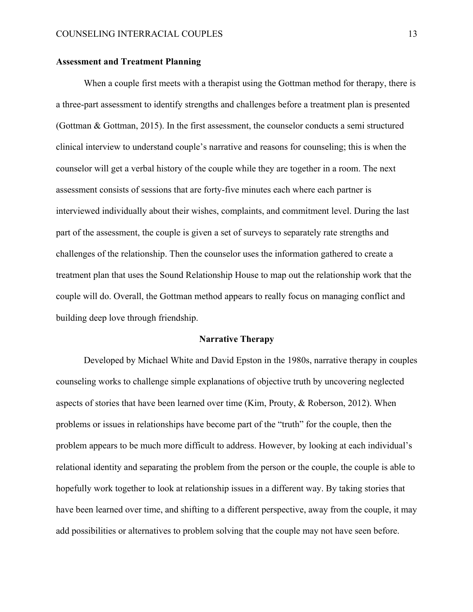### **Assessment and Treatment Planning**

When a couple first meets with a therapist using the Gottman method for therapy, there is a three-part assessment to identify strengths and challenges before a treatment plan is presented (Gottman & Gottman, 2015). In the first assessment, the counselor conducts a semi structured clinical interview to understand couple's narrative and reasons for counseling; this is when the counselor will get a verbal history of the couple while they are together in a room. The next assessment consists of sessions that are forty-five minutes each where each partner is interviewed individually about their wishes, complaints, and commitment level. During the last part of the assessment, the couple is given a set of surveys to separately rate strengths and challenges of the relationship. Then the counselor uses the information gathered to create a treatment plan that uses the Sound Relationship House to map out the relationship work that the couple will do. Overall, the Gottman method appears to really focus on managing conflict and building deep love through friendship.

#### **Narrative Therapy**

Developed by Michael White and David Epston in the 1980s, narrative therapy in couples counseling works to challenge simple explanations of objective truth by uncovering neglected aspects of stories that have been learned over time (Kim, Prouty, & Roberson, 2012). When problems or issues in relationships have become part of the "truth" for the couple, then the problem appears to be much more difficult to address. However, by looking at each individual's relational identity and separating the problem from the person or the couple, the couple is able to hopefully work together to look at relationship issues in a different way. By taking stories that have been learned over time, and shifting to a different perspective, away from the couple, it may add possibilities or alternatives to problem solving that the couple may not have seen before.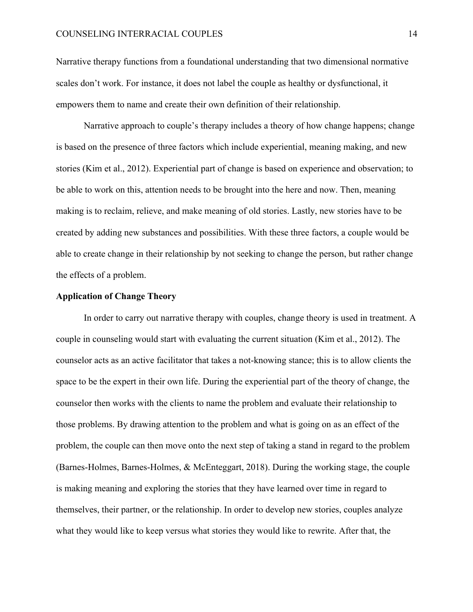Narrative therapy functions from a foundational understanding that two dimensional normative scales don't work. For instance, it does not label the couple as healthy or dysfunctional, it empowers them to name and create their own definition of their relationship.

Narrative approach to couple's therapy includes a theory of how change happens; change is based on the presence of three factors which include experiential, meaning making, and new stories (Kim et al., 2012). Experiential part of change is based on experience and observation; to be able to work on this, attention needs to be brought into the here and now. Then, meaning making is to reclaim, relieve, and make meaning of old stories. Lastly, new stories have to be created by adding new substances and possibilities. With these three factors, a couple would be able to create change in their relationship by not seeking to change the person, but rather change the effects of a problem.

# **Application of Change Theory**

In order to carry out narrative therapy with couples, change theory is used in treatment. A couple in counseling would start with evaluating the current situation (Kim et al., 2012). The counselor acts as an active facilitator that takes a not-knowing stance; this is to allow clients the space to be the expert in their own life. During the experiential part of the theory of change, the counselor then works with the clients to name the problem and evaluate their relationship to those problems. By drawing attention to the problem and what is going on as an effect of the problem, the couple can then move onto the next step of taking a stand in regard to the problem (Barnes-Holmes, Barnes-Holmes, & McEnteggart, 2018). During the working stage, the couple is making meaning and exploring the stories that they have learned over time in regard to themselves, their partner, or the relationship. In order to develop new stories, couples analyze what they would like to keep versus what stories they would like to rewrite. After that, the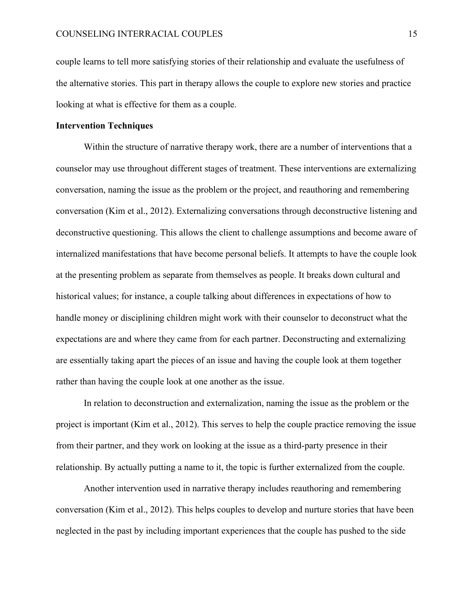couple learns to tell more satisfying stories of their relationship and evaluate the usefulness of the alternative stories. This part in therapy allows the couple to explore new stories and practice looking at what is effective for them as a couple.

#### **Intervention Techniques**

Within the structure of narrative therapy work, there are a number of interventions that a counselor may use throughout different stages of treatment. These interventions are externalizing conversation, naming the issue as the problem or the project, and reauthoring and remembering conversation (Kim et al., 2012). Externalizing conversations through deconstructive listening and deconstructive questioning. This allows the client to challenge assumptions and become aware of internalized manifestations that have become personal beliefs. It attempts to have the couple look at the presenting problem as separate from themselves as people. It breaks down cultural and historical values; for instance, a couple talking about differences in expectations of how to handle money or disciplining children might work with their counselor to deconstruct what the expectations are and where they came from for each partner. Deconstructing and externalizing are essentially taking apart the pieces of an issue and having the couple look at them together rather than having the couple look at one another as the issue.

In relation to deconstruction and externalization, naming the issue as the problem or the project is important (Kim et al., 2012). This serves to help the couple practice removing the issue from their partner, and they work on looking at the issue as a third-party presence in their relationship. By actually putting a name to it, the topic is further externalized from the couple.

Another intervention used in narrative therapy includes reauthoring and remembering conversation (Kim et al., 2012). This helps couples to develop and nurture stories that have been neglected in the past by including important experiences that the couple has pushed to the side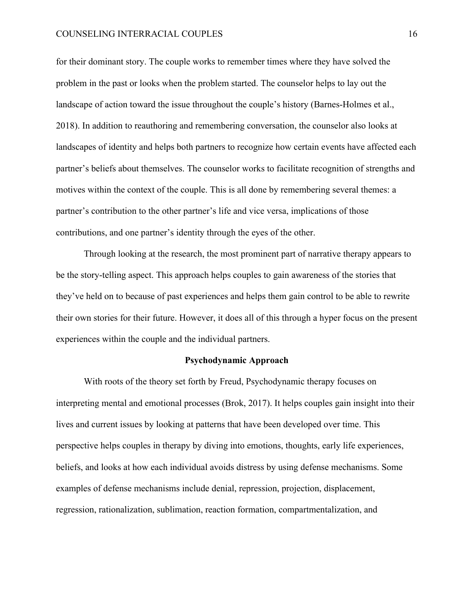for their dominant story. The couple works to remember times where they have solved the problem in the past or looks when the problem started. The counselor helps to lay out the landscape of action toward the issue throughout the couple's history (Barnes-Holmes et al., 2018). In addition to reauthoring and remembering conversation, the counselor also looks at landscapes of identity and helps both partners to recognize how certain events have affected each partner's beliefs about themselves. The counselor works to facilitate recognition of strengths and motives within the context of the couple. This is all done by remembering several themes: a partner's contribution to the other partner's life and vice versa, implications of those contributions, and one partner's identity through the eyes of the other.

Through looking at the research, the most prominent part of narrative therapy appears to be the story-telling aspect. This approach helps couples to gain awareness of the stories that they've held on to because of past experiences and helps them gain control to be able to rewrite their own stories for their future. However, it does all of this through a hyper focus on the present experiences within the couple and the individual partners.

### **Psychodynamic Approach**

With roots of the theory set forth by Freud, Psychodynamic therapy focuses on interpreting mental and emotional processes (Brok, 2017). It helps couples gain insight into their lives and current issues by looking at patterns that have been developed over time. This perspective helps couples in therapy by diving into emotions, thoughts, early life experiences, beliefs, and looks at how each individual avoids distress by using defense mechanisms. Some examples of defense mechanisms include denial, repression, projection, displacement, regression, rationalization, sublimation, reaction formation, compartmentalization, and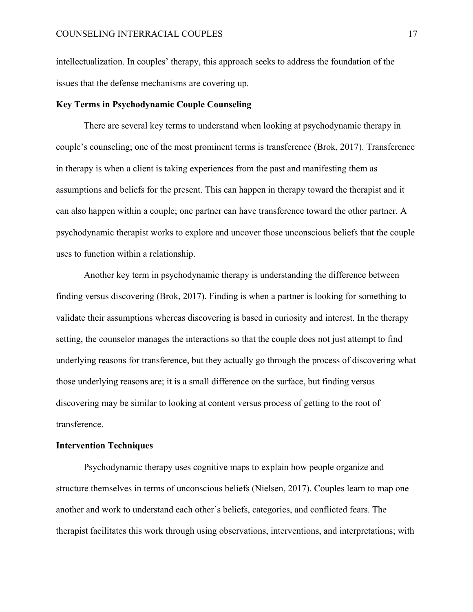intellectualization. In couples' therapy, this approach seeks to address the foundation of the issues that the defense mechanisms are covering up.

### **Key Terms in Psychodynamic Couple Counseling**

There are several key terms to understand when looking at psychodynamic therapy in couple's counseling; one of the most prominent terms is transference (Brok, 2017). Transference in therapy is when a client is taking experiences from the past and manifesting them as assumptions and beliefs for the present. This can happen in therapy toward the therapist and it can also happen within a couple; one partner can have transference toward the other partner. A psychodynamic therapist works to explore and uncover those unconscious beliefs that the couple uses to function within a relationship.

Another key term in psychodynamic therapy is understanding the difference between finding versus discovering (Brok, 2017). Finding is when a partner is looking for something to validate their assumptions whereas discovering is based in curiosity and interest. In the therapy setting, the counselor manages the interactions so that the couple does not just attempt to find underlying reasons for transference, but they actually go through the process of discovering what those underlying reasons are; it is a small difference on the surface, but finding versus discovering may be similar to looking at content versus process of getting to the root of transference.

# **Intervention Techniques**

Psychodynamic therapy uses cognitive maps to explain how people organize and structure themselves in terms of unconscious beliefs (Nielsen, 2017). Couples learn to map one another and work to understand each other's beliefs, categories, and conflicted fears. The therapist facilitates this work through using observations, interventions, and interpretations; with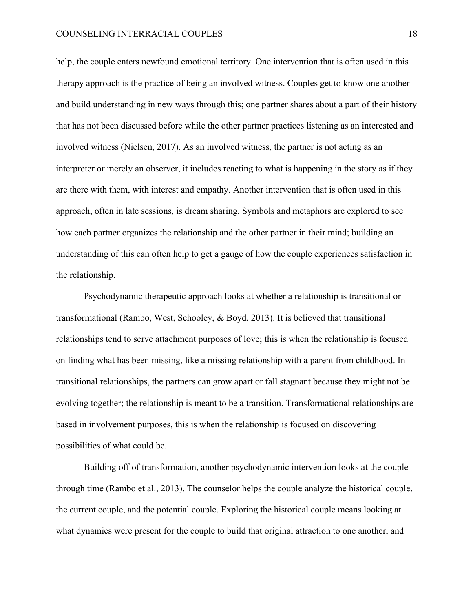help, the couple enters newfound emotional territory. One intervention that is often used in this therapy approach is the practice of being an involved witness. Couples get to know one another and build understanding in new ways through this; one partner shares about a part of their history that has not been discussed before while the other partner practices listening as an interested and involved witness (Nielsen, 2017). As an involved witness, the partner is not acting as an interpreter or merely an observer, it includes reacting to what is happening in the story as if they are there with them, with interest and empathy. Another intervention that is often used in this approach, often in late sessions, is dream sharing. Symbols and metaphors are explored to see how each partner organizes the relationship and the other partner in their mind; building an understanding of this can often help to get a gauge of how the couple experiences satisfaction in the relationship.

Psychodynamic therapeutic approach looks at whether a relationship is transitional or transformational (Rambo, West, Schooley, & Boyd, 2013). It is believed that transitional relationships tend to serve attachment purposes of love; this is when the relationship is focused on finding what has been missing, like a missing relationship with a parent from childhood. In transitional relationships, the partners can grow apart or fall stagnant because they might not be evolving together; the relationship is meant to be a transition. Transformational relationships are based in involvement purposes, this is when the relationship is focused on discovering possibilities of what could be.

Building off of transformation, another psychodynamic intervention looks at the couple through time (Rambo et al., 2013). The counselor helps the couple analyze the historical couple, the current couple, and the potential couple. Exploring the historical couple means looking at what dynamics were present for the couple to build that original attraction to one another, and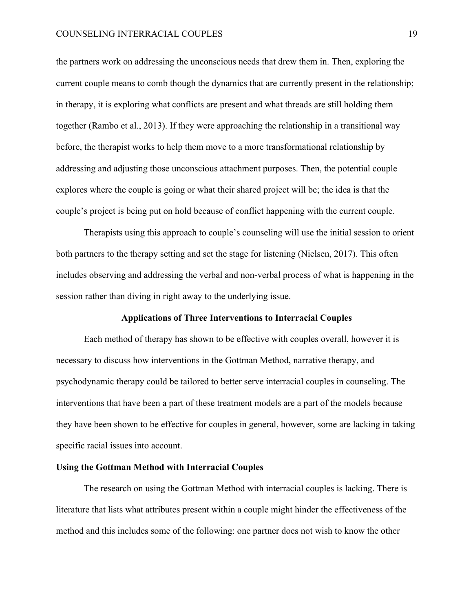the partners work on addressing the unconscious needs that drew them in. Then, exploring the current couple means to comb though the dynamics that are currently present in the relationship; in therapy, it is exploring what conflicts are present and what threads are still holding them together (Rambo et al., 2013). If they were approaching the relationship in a transitional way before, the therapist works to help them move to a more transformational relationship by addressing and adjusting those unconscious attachment purposes. Then, the potential couple explores where the couple is going or what their shared project will be; the idea is that the couple's project is being put on hold because of conflict happening with the current couple.

Therapists using this approach to couple's counseling will use the initial session to orient both partners to the therapy setting and set the stage for listening (Nielsen, 2017). This often includes observing and addressing the verbal and non-verbal process of what is happening in the session rather than diving in right away to the underlying issue.

#### **Applications of Three Interventions to Interracial Couples**

Each method of therapy has shown to be effective with couples overall, however it is necessary to discuss how interventions in the Gottman Method, narrative therapy, and psychodynamic therapy could be tailored to better serve interracial couples in counseling. The interventions that have been a part of these treatment models are a part of the models because they have been shown to be effective for couples in general, however, some are lacking in taking specific racial issues into account.

# **Using the Gottman Method with Interracial Couples**

The research on using the Gottman Method with interracial couples is lacking. There is literature that lists what attributes present within a couple might hinder the effectiveness of the method and this includes some of the following: one partner does not wish to know the other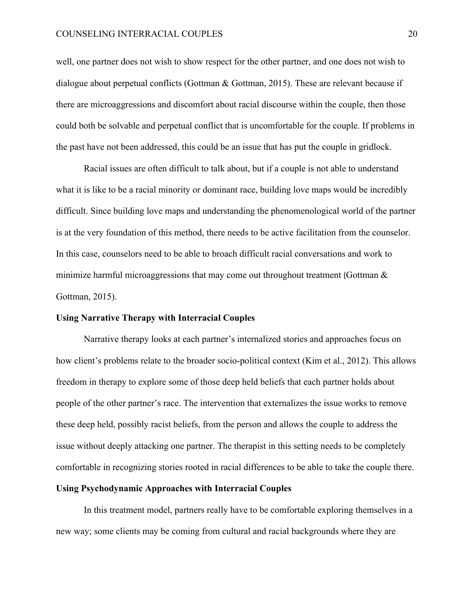# COUNSELING INTERRACIAL COUPLES 20

well, one partner does not wish to show respect for the other partner, and one does not wish to dialogue about perpetual conflicts (Gottman & Gottman, 2015). These are relevant because if there are microaggressions and discomfort about racial discourse within the couple, then those could both be solvable and perpetual conflict that is uncomfortable for the couple. If problems in the past have not been addressed, this could be an issue that has put the couple in gridlock.

Racial issues are often difficult to talk about, but if a couple is not able to understand what it is like to be a racial minority or dominant race, building love maps would be incredibly difficult. Since building love maps and understanding the phenomenological world of the partner is at the very foundation of this method, there needs to be active facilitation from the counselor. In this case, counselors need to be able to broach difficult racial conversations and work to minimize harmful microaggressions that may come out throughout treatment (Gottman  $\&$ Gottman, 2015).

#### **Using Narrative Therapy with Interracial Couples**

Narrative therapy looks at each partner's internalized stories and approaches focus on how client's problems relate to the broader socio-political context (Kim et al., 2012). This allows freedom in therapy to explore some of those deep held beliefs that each partner holds about people of the other partner's race. The intervention that externalizes the issue works to remove these deep held, possibly racist beliefs, from the person and allows the couple to address the issue without deeply attacking one partner. The therapist in this setting needs to be completely comfortable in recognizing stories rooted in racial differences to be able to take the couple there.

# **Using Psychodynamic Approaches with Interracial Couples**

In this treatment model, partners really have to be comfortable exploring themselves in a new way; some clients may be coming from cultural and racial backgrounds where they are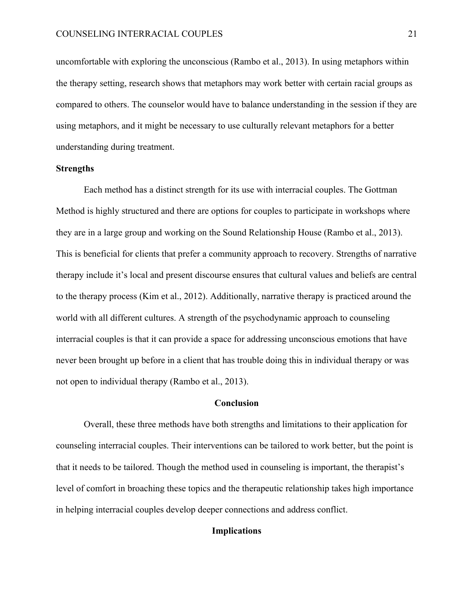uncomfortable with exploring the unconscious (Rambo et al., 2013). In using metaphors within the therapy setting, research shows that metaphors may work better with certain racial groups as compared to others. The counselor would have to balance understanding in the session if they are using metaphors, and it might be necessary to use culturally relevant metaphors for a better understanding during treatment.

#### **Strengths**

Each method has a distinct strength for its use with interracial couples. The Gottman Method is highly structured and there are options for couples to participate in workshops where they are in a large group and working on the Sound Relationship House (Rambo et al., 2013). This is beneficial for clients that prefer a community approach to recovery. Strengths of narrative therapy include it's local and present discourse ensures that cultural values and beliefs are central to the therapy process (Kim et al., 2012). Additionally, narrative therapy is practiced around the world with all different cultures. A strength of the psychodynamic approach to counseling interracial couples is that it can provide a space for addressing unconscious emotions that have never been brought up before in a client that has trouble doing this in individual therapy or was not open to individual therapy (Rambo et al., 2013).

## **Conclusion**

Overall, these three methods have both strengths and limitations to their application for counseling interracial couples. Their interventions can be tailored to work better, but the point is that it needs to be tailored. Though the method used in counseling is important, the therapist's level of comfort in broaching these topics and the therapeutic relationship takes high importance in helping interracial couples develop deeper connections and address conflict.

# **Implications**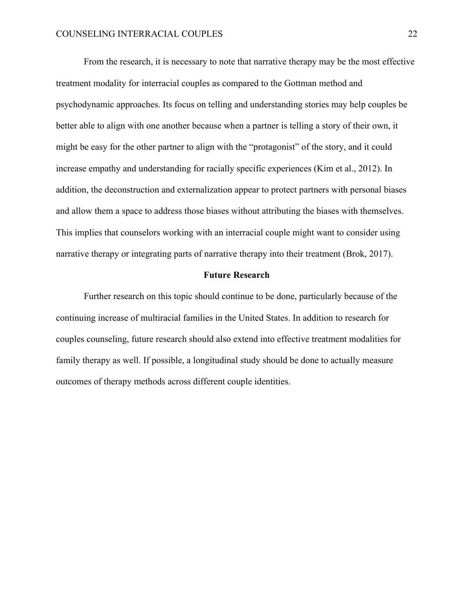From the research, it is necessary to note that narrative therapy may be the most effective treatment modality for interracial couples as compared to the Gottman method and psychodynamic approaches. Its focus on telling and understanding stories may help couples be better able to align with one another because when a partner is telling a story of their own, it might be easy for the other partner to align with the "protagonist" of the story, and it could increase empathy and understanding for racially specific experiences (Kim et al., 2012). In addition, the deconstruction and externalization appear to protect partners with personal biases and allow them a space to address those biases without attributing the biases with themselves. This implies that counselors working with an interracial couple might want to consider using narrative therapy or integrating parts of narrative therapy into their treatment (Brok, 2017).

#### **Future Research**

Further research on this topic should continue to be done, particularly because of the continuing increase of multiracial families in the United States. In addition to research for couples counseling, future research should also extend into effective treatment modalities for family therapy as well. If possible, a longitudinal study should be done to actually measure outcomes of therapy methods across different couple identities.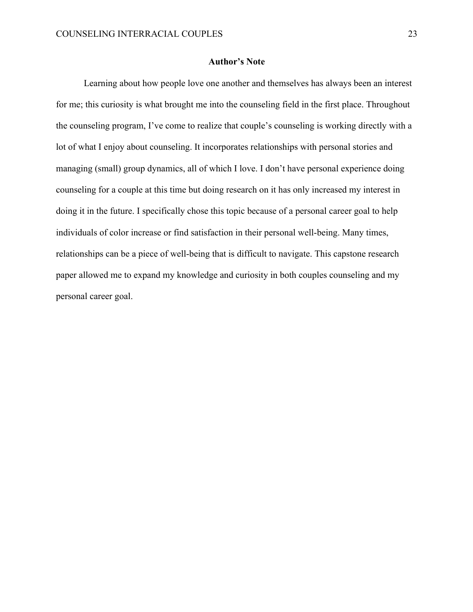#### **Author's Note**

Learning about how people love one another and themselves has always been an interest for me; this curiosity is what brought me into the counseling field in the first place. Throughout the counseling program, I've come to realize that couple's counseling is working directly with a lot of what I enjoy about counseling. It incorporates relationships with personal stories and managing (small) group dynamics, all of which I love. I don't have personal experience doing counseling for a couple at this time but doing research on it has only increased my interest in doing it in the future. I specifically chose this topic because of a personal career goal to help individuals of color increase or find satisfaction in their personal well-being. Many times, relationships can be a piece of well-being that is difficult to navigate. This capstone research paper allowed me to expand my knowledge and curiosity in both couples counseling and my personal career goal.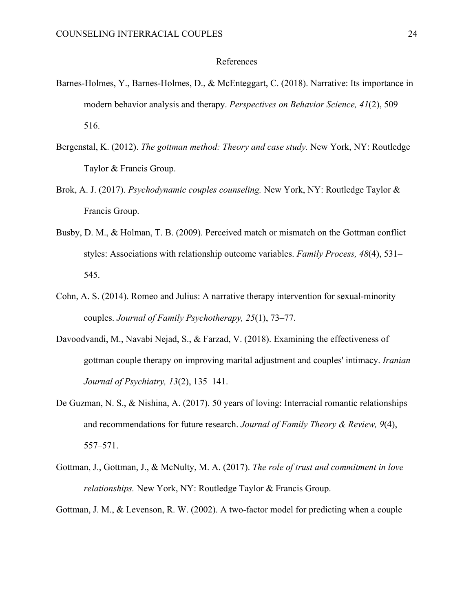#### References

- Barnes-Holmes, Y., Barnes-Holmes, D., & McEnteggart, C. (2018). Narrative: Its importance in modern behavior analysis and therapy. *Perspectives on Behavior Science, 41*(2), 509– 516.
- Bergenstal, K. (2012). *The gottman method: Theory and case study.* New York, NY: Routledge Taylor & Francis Group.
- Brok, A. J. (2017). *Psychodynamic couples counseling.* New York, NY: Routledge Taylor & Francis Group.
- Busby, D. M., & Holman, T. B. (2009). Perceived match or mismatch on the Gottman conflict styles: Associations with relationship outcome variables. *Family Process, 48*(4), 531– 545.
- Cohn, A. S. (2014). Romeo and Julius: A narrative therapy intervention for sexual-minority couples. *Journal of Family Psychotherapy, 25*(1), 73–77.
- Davoodvandi, M., Navabi Nejad, S., & Farzad, V. (2018). Examining the effectiveness of gottman couple therapy on improving marital adjustment and couples' intimacy. *Iranian Journal of Psychiatry, 13*(2), 135–141.
- De Guzman, N. S., & Nishina, A. (2017). 50 years of loving: Interracial romantic relationships and recommendations for future research. *Journal of Family Theory & Review, 9*(4), 557–571.
- Gottman, J., Gottman, J., & McNulty, M. A. (2017). *The role of trust and commitment in love relationships.* New York, NY: Routledge Taylor & Francis Group.

Gottman, J. M., & Levenson, R. W. (2002). A two-factor model for predicting when a couple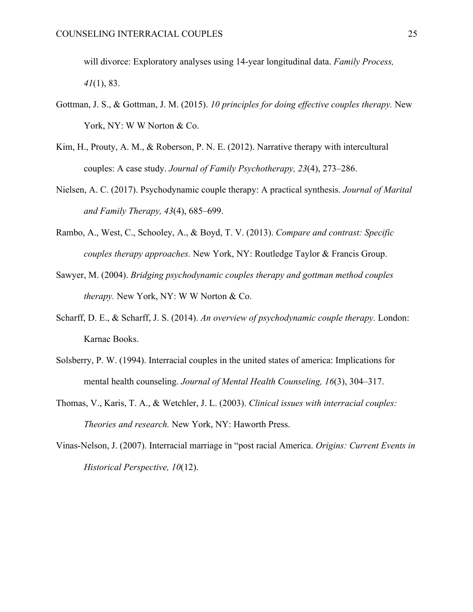will divorce: Exploratory analyses using 14-year longitudinal data. *Family Process, 41*(1), 83.

- Gottman, J. S., & Gottman, J. M. (2015). *10 principles for doing effective couples therapy.* New York, NY: W W Norton & Co.
- Kim, H., Prouty, A. M., & Roberson, P. N. E. (2012). Narrative therapy with intercultural couples: A case study. *Journal of Family Psychotherapy, 23*(4), 273–286.
- Nielsen, A. C. (2017). Psychodynamic couple therapy: A practical synthesis. *Journal of Marital and Family Therapy, 43*(4), 685–699.
- Rambo, A., West, C., Schooley, A., & Boyd, T. V. (2013). *Compare and contrast: Specific couples therapy approaches.* New York, NY: Routledge Taylor & Francis Group.
- Sawyer, M. (2004). *Bridging psychodynamic couples therapy and gottman method couples therapy.* New York, NY: W W Norton & Co.
- Scharff, D. E., & Scharff, J. S. (2014). *An overview of psychodynamic couple therapy.* London: Karnac Books.
- Solsberry, P. W. (1994). Interracial couples in the united states of america: Implications for mental health counseling. *Journal of Mental Health Counseling, 16*(3), 304–317.
- Thomas, V., Karis, T. A., & Wetchler, J. L. (2003). *Clinical issues with interracial couples: Theories and research.* New York, NY: Haworth Press.
- Vinas-Nelson, J. (2007). Interracial marriage in "post racial America. *Origins: Current Events in Historical Perspective, 10*(12).